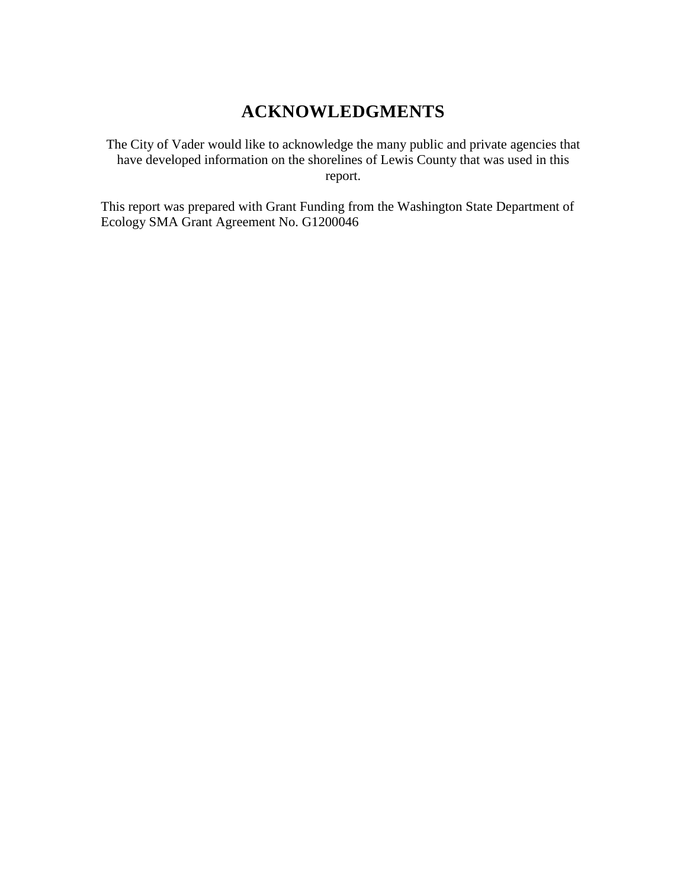# **ACKNOWLEDGMENTS**

The City of Vader would like to acknowledge the many public and private agencies that have developed information on the shorelines of Lewis County that was used in this report.

This report was prepared with Grant Funding from the Washington State Department of Ecology SMA Grant Agreement No. G1200046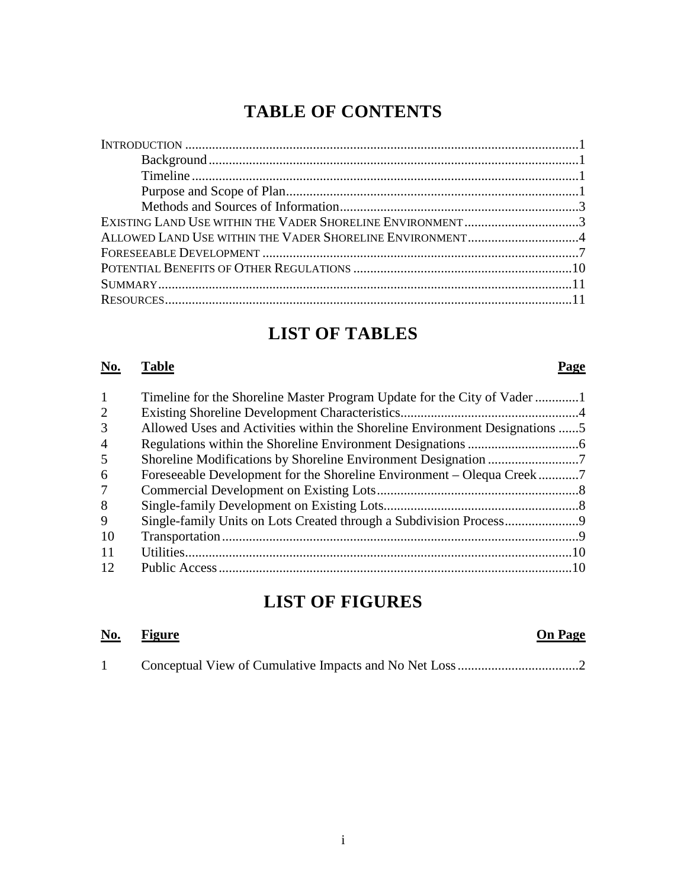# **TABLE OF CONTENTS**

| EXISTING LAND USE WITHIN THE VADER SHORELINE ENVIRONMENT3 |  |
|-----------------------------------------------------------|--|
| ALLOWED LAND USE WITHIN THE VADER SHORELINE ENVIRONMENT4  |  |
|                                                           |  |
|                                                           |  |
|                                                           |  |
|                                                           |  |
|                                                           |  |

# **LIST OF TABLES**

#### **No. Table Page**

| $\mathbf{1}$   | Timeline for the Shoreline Master Program Update for the City of Vader1     |  |
|----------------|-----------------------------------------------------------------------------|--|
| 2              |                                                                             |  |
| 3              | Allowed Uses and Activities within the Shoreline Environment Designations 5 |  |
| $\overline{4}$ |                                                                             |  |
| 5              |                                                                             |  |
| 6              |                                                                             |  |
| 7              |                                                                             |  |
| 8              |                                                                             |  |
| 9              |                                                                             |  |
| 10             |                                                                             |  |
| 11             |                                                                             |  |
| 12             |                                                                             |  |

# **LIST OF FIGURES**

| <u>No.</u> | <b>Figure</b> |  | <b>On Page</b> |
|------------|---------------|--|----------------|
|            |               |  |                |

|--|--|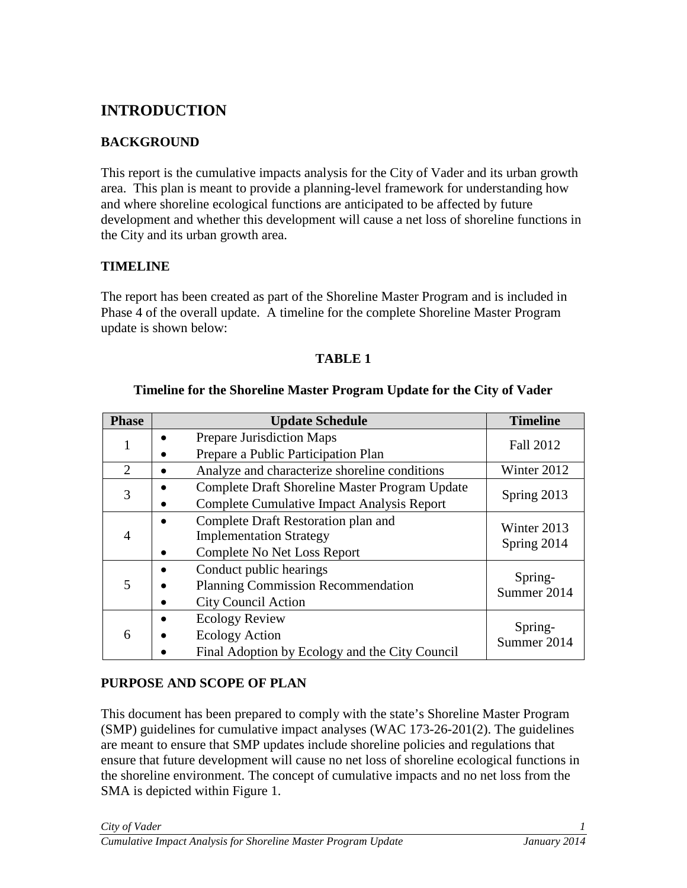# <span id="page-4-0"></span>**INTRODUCTION**

# <span id="page-4-1"></span>**BACKGROUND**

This report is the cumulative impacts analysis for the City of Vader and its urban growth area. This plan is meant to provide a planning-level framework for understanding how and where shoreline ecological functions are anticipated to be affected by future development and whether this development will cause a net loss of shoreline functions in the City and its urban growth area.

## <span id="page-4-2"></span>**TIMELINE**

The report has been created as part of the Shoreline Master Program and is included in Phase 4 of the overall update. A timeline for the complete Shoreline Master Program update is shown below:

#### **TABLE 1**

| <b>Phase</b>                | <b>Update Schedule</b>                                                                                  | <b>Timeline</b>            |
|-----------------------------|---------------------------------------------------------------------------------------------------------|----------------------------|
|                             | Prepare Jurisdiction Maps<br>Prepare a Public Participation Plan                                        | Fall 2012                  |
| $\mathcal{D}_{\mathcal{L}}$ | Analyze and characterize shoreline conditions                                                           | Winter 2012                |
| 3                           | Complete Draft Shoreline Master Program Update<br>Complete Cumulative Impact Analysis Report            | Spring 2013                |
| 4                           | Complete Draft Restoration plan and<br><b>Implementation Strategy</b><br>Complete No Net Loss Report    | Winter 2013<br>Spring 2014 |
| 5                           | Conduct public hearings<br>٠<br><b>Planning Commission Recommendation</b><br><b>City Council Action</b> | Spring-<br>Summer 2014     |
| 6                           | <b>Ecology Review</b><br><b>Ecology Action</b><br>Final Adoption by Ecology and the City Council        | Spring-<br>Summer 2014     |

#### **Timeline for the Shoreline Master Program Update for the City of Vader**

## <span id="page-4-3"></span>**PURPOSE AND SCOPE OF PLAN**

This document has been prepared to comply with the state's Shoreline Master Program (SMP) guidelines for cumulative impact analyses (WAC 173-26-201(2). The guidelines are meant to ensure that SMP updates include shoreline policies and regulations that ensure that future development will cause no net loss of shoreline ecological functions in the shoreline environment. The concept of cumulative impacts and no net loss from the SMA is depicted within Figure 1.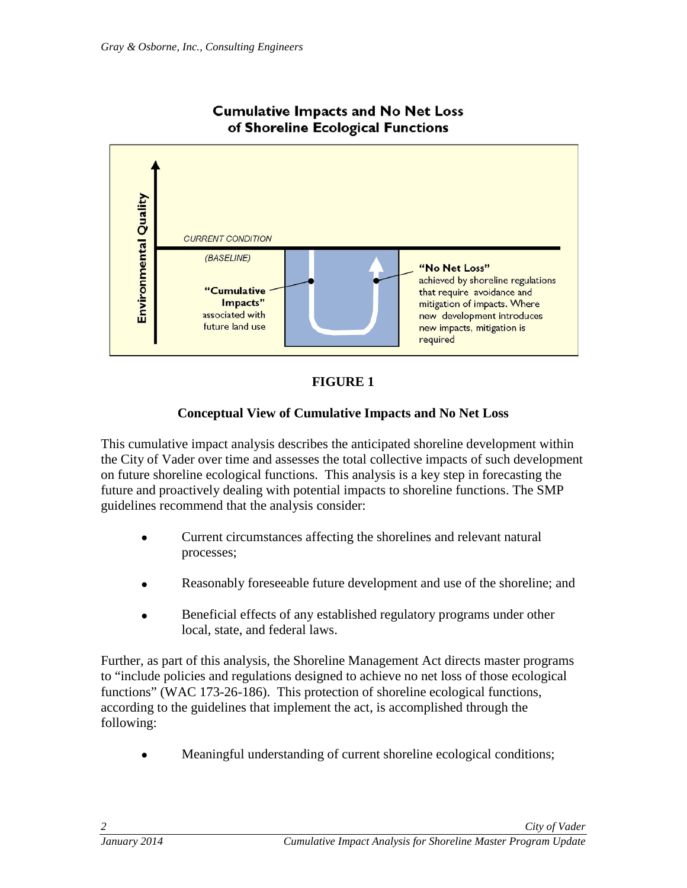

#### **Cumulative Impacts and No Net Loss** of Shoreline Ecological Functions



# **Conceptual View of Cumulative Impacts and No Net Loss**

This cumulative impact analysis describes the anticipated shoreline development within the City of Vader over time and assesses the total collective impacts of such development on future shoreline ecological functions. This analysis is a key step in forecasting the future and proactively dealing with potential impacts to shoreline functions. The SMP guidelines recommend that the analysis consider:

- Current circumstances affecting the shorelines and relevant natural processes;
- Reasonably foreseeable future development and use of the shoreline; and
- Beneficial effects of any established regulatory programs under other local, state, and federal laws.

Further, as part of this analysis, the Shoreline Management Act directs master programs to "include policies and regulations designed to achieve no net loss of those ecological functions" (WAC 173-26-186). This protection of shoreline ecological functions, according to the guidelines that implement the act, is accomplished through the following:

• Meaningful understanding of current shoreline ecological conditions;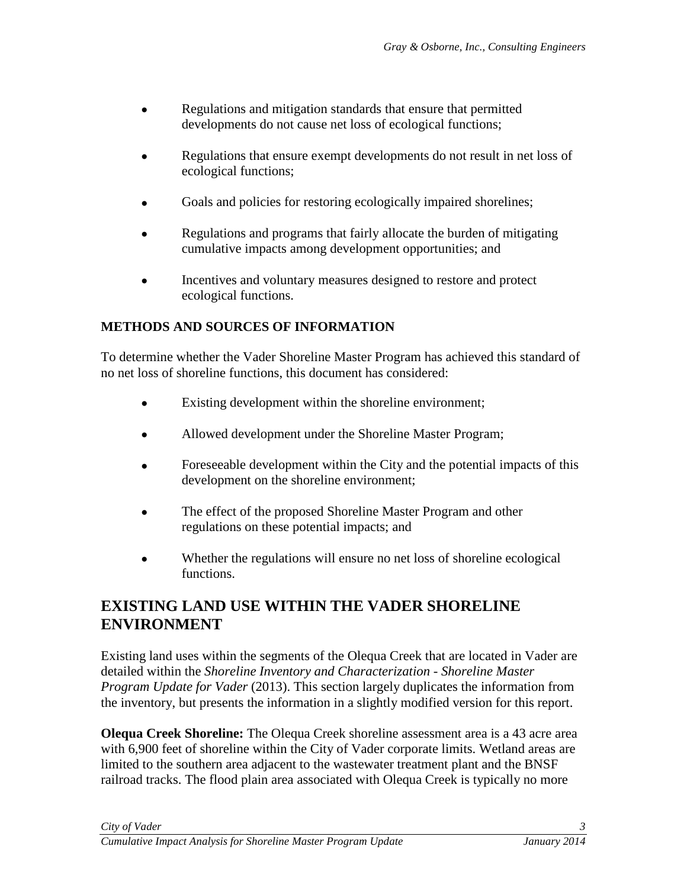- Regulations and mitigation standards that ensure that permitted developments do not cause net loss of ecological functions;
- Regulations that ensure exempt developments do not result in net loss of ecological functions;
- Goals and policies for restoring ecologically impaired shorelines;
- Regulations and programs that fairly allocate the burden of mitigating cumulative impacts among development opportunities; and
- Incentives and voluntary measures designed to restore and protect ecological functions.

# <span id="page-6-0"></span>**METHODS AND SOURCES OF INFORMATION**

To determine whether the Vader Shoreline Master Program has achieved this standard of no net loss of shoreline functions, this document has considered:

- Existing development within the shoreline environment;
- Allowed development under the Shoreline Master Program;
- Foreseeable development within the City and the potential impacts of this development on the shoreline environment;
- The effect of the proposed Shoreline Master Program and other regulations on these potential impacts; and
- Whether the regulations will ensure no net loss of shoreline ecological functions.

# <span id="page-6-1"></span>**EXISTING LAND USE WITHIN THE VADER SHORELINE ENVIRONMENT**

Existing land uses within the segments of the Olequa Creek that are located in Vader are detailed within the *Shoreline Inventory and Characterization - Shoreline Master Program Update for Vader* (2013). This section largely duplicates the information from the inventory, but presents the information in a slightly modified version for this report.

**Olequa Creek Shoreline:** The Olequa Creek shoreline assessment area is a 43 acre area with 6,900 feet of shoreline within the City of Vader corporate limits. Wetland areas are limited to the southern area adjacent to the wastewater treatment plant and the BNSF railroad tracks. The flood plain area associated with Olequa Creek is typically no more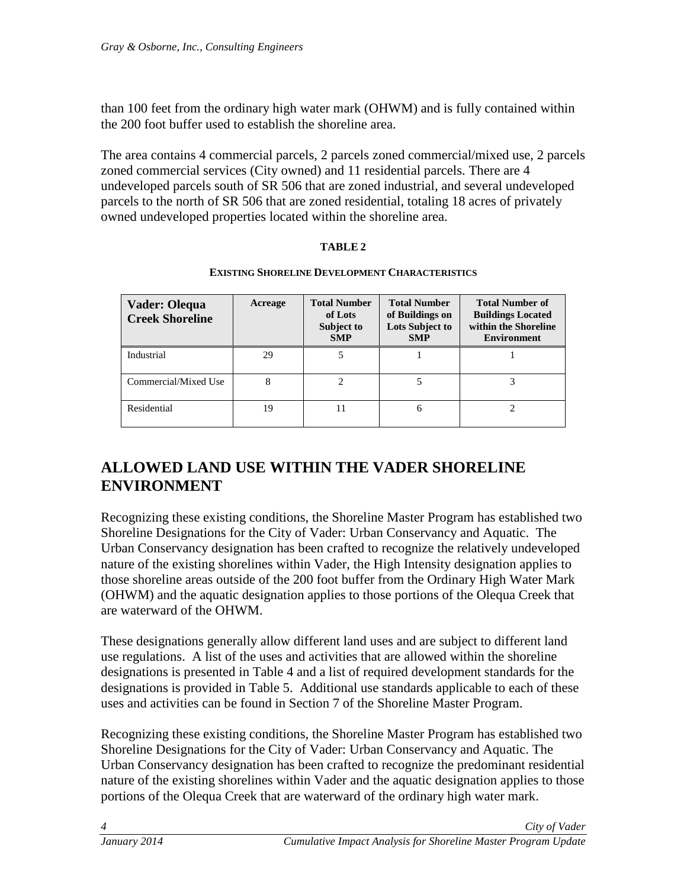than 100 feet from the ordinary high water mark (OHWM) and is fully contained within the 200 foot buffer used to establish the shoreline area.

The area contains 4 commercial parcels, 2 parcels zoned commercial/mixed use, 2 parcels zoned commercial services (City owned) and 11 residential parcels. There are 4 undeveloped parcels south of SR 506 that are zoned industrial, and several undeveloped parcels to the north of SR 506 that are zoned residential, totaling 18 acres of privately owned undeveloped properties located within the shoreline area.

#### **TABLE 2**

#### **EXISTING SHORELINE DEVELOPMENT CHARACTERISTICS**

| Vader: Olequa<br><b>Creek Shoreline</b> | Acreage | <b>Total Number</b><br>of Lots<br>Subject to<br><b>SMP</b> | <b>Total Number</b><br>of Buildings on<br><b>Lots Subject to</b><br><b>SMP</b> | <b>Total Number of</b><br><b>Buildings Located</b><br>within the Shoreline<br><b>Environment</b> |
|-----------------------------------------|---------|------------------------------------------------------------|--------------------------------------------------------------------------------|--------------------------------------------------------------------------------------------------|
| Industrial                              | 29      |                                                            |                                                                                |                                                                                                  |
| Commercial/Mixed Use                    | 8       |                                                            |                                                                                |                                                                                                  |
| Residential                             | 19      | 11                                                         | 6                                                                              |                                                                                                  |

# <span id="page-7-0"></span>**ALLOWED LAND USE WITHIN THE VADER SHORELINE ENVIRONMENT**

Recognizing these existing conditions, the Shoreline Master Program has established two Shoreline Designations for the City of Vader: Urban Conservancy and Aquatic. The Urban Conservancy designation has been crafted to recognize the relatively undeveloped nature of the existing shorelines within Vader, the High Intensity designation applies to those shoreline areas outside of the 200 foot buffer from the Ordinary High Water Mark (OHWM) and the aquatic designation applies to those portions of the Olequa Creek that are waterward of the OHWM.

These designations generally allow different land uses and are subject to different land use regulations. A list of the uses and activities that are allowed within the shoreline designations is presented in Table 4 and a list of required development standards for the designations is provided in Table 5. Additional use standards applicable to each of these uses and activities can be found in Section 7 of the Shoreline Master Program.

Recognizing these existing conditions, the Shoreline Master Program has established two Shoreline Designations for the City of Vader: Urban Conservancy and Aquatic. The Urban Conservancy designation has been crafted to recognize the predominant residential nature of the existing shorelines within Vader and the aquatic designation applies to those portions of the Olequa Creek that are waterward of the ordinary high water mark.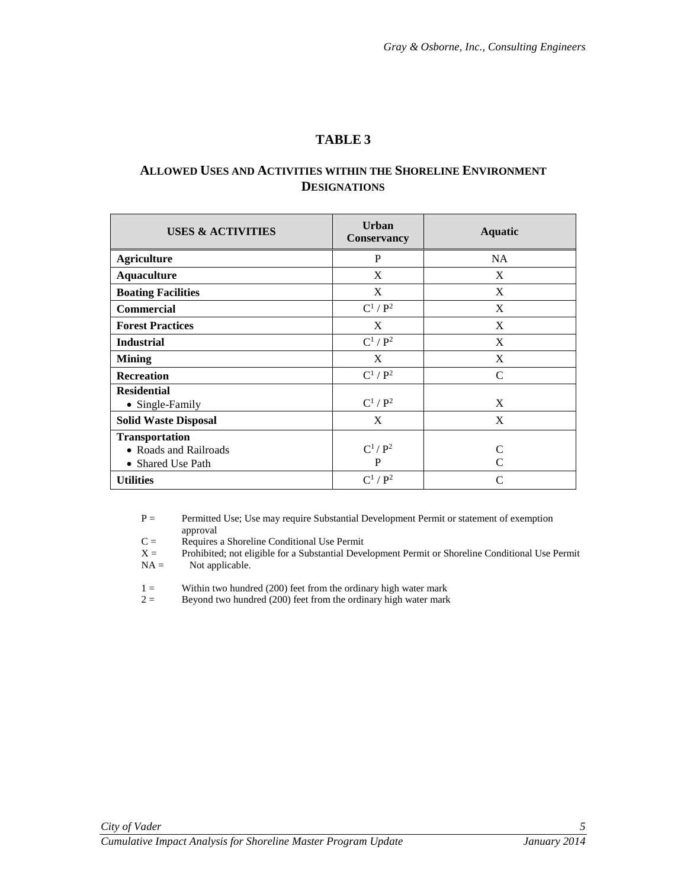#### **ALLOWED USES AND ACTIVITIES WITHIN THE SHORELINE ENVIRONMENT DESIGNATIONS**

| <b>USES &amp; ACTIVITIES</b>                                        | <b>Urban</b><br><b>Conservancy</b> | <b>Aquatic</b>         |
|---------------------------------------------------------------------|------------------------------------|------------------------|
| <b>Agriculture</b>                                                  | P                                  | <b>NA</b>              |
| <b>Aquaculture</b>                                                  | X                                  | X                      |
| <b>Boating Facilities</b>                                           | X                                  | X                      |
| Commercial                                                          | $C^1/P^2$                          | X                      |
| <b>Forest Practices</b>                                             | X                                  | X                      |
| <b>Industrial</b>                                                   | $C^1/P^2$                          | X                      |
| <b>Mining</b>                                                       | X                                  | X                      |
| <b>Recreation</b>                                                   | $C^1/P^2$                          | $\mathcal{C}$          |
| <b>Residential</b><br>• Single-Family                               | $C^1/P^2$                          | X                      |
| <b>Solid Waste Disposal</b>                                         | X                                  | X                      |
| <b>Transportation</b><br>• Roads and Railroads<br>• Shared Use Path | $C^1/P^2$<br>P                     | C<br>$\mathsf{\Gamma}$ |
| <b>Utilities</b>                                                    | $C^1/P^2$                          | $\mathcal{C}$          |

P = Permitted Use; Use may require Substantial Development Permit or statement of exemption approval

 $C =$  Requires a Shoreline Conditional Use Permit  $X =$  Prohibited; not eligible for a Substantial Deve

Prohibited; not eligible for a Substantial Development Permit or Shoreline Conditional Use Permit  $NA =$  Not applicable.

1 = Within two hundred (200) feet from the ordinary high water mark<br>  $2 =$  Bevond two hundred (200) feet from the ordinary high water mark

Beyond two hundred  $(200)$  feet from the ordinary high water mark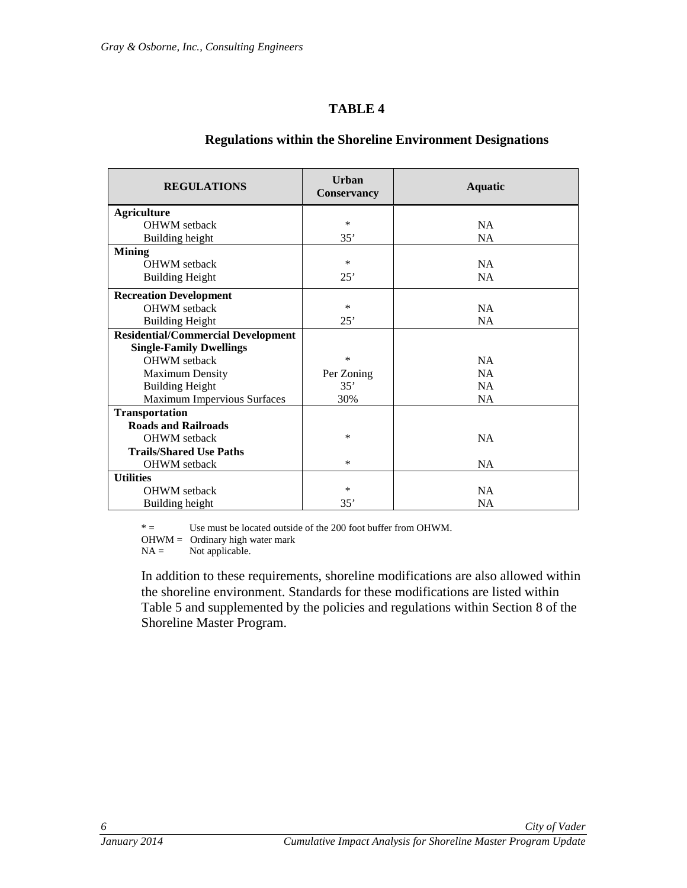| <b>REGULATIONS</b>                        | Urban<br><b>Conservancy</b> | <b>Aquatic</b> |
|-------------------------------------------|-----------------------------|----------------|
| <b>Agriculture</b>                        |                             |                |
| <b>OHWM</b> setback                       | $\ast$                      | NA             |
| Building height                           | 35'                         | <b>NA</b>      |
| <b>Mining</b>                             |                             |                |
| <b>OHWM</b> setback                       | $\ast$                      | NA             |
| <b>Building Height</b>                    | 25'                         | <b>NA</b>      |
| <b>Recreation Development</b>             |                             |                |
| <b>OHWM</b> setback                       | *                           | NA             |
| <b>Building Height</b>                    | 25'                         | <b>NA</b>      |
| <b>Residential/Commercial Development</b> |                             |                |
| <b>Single-Family Dwellings</b>            |                             |                |
| <b>OHWM</b> setback                       | $\ast$                      | NA             |
| <b>Maximum Density</b>                    | Per Zoning                  | <b>NA</b>      |
| <b>Building Height</b>                    | 35'                         | NA             |
| <b>Maximum Impervious Surfaces</b>        | 30%                         | <b>NA</b>      |
| <b>Transportation</b>                     |                             |                |
| <b>Roads and Railroads</b>                |                             |                |
| <b>OHWM</b> setback                       | $\ast$                      | <b>NA</b>      |
| <b>Trails/Shared Use Paths</b>            |                             |                |
| <b>OHWM</b> setback                       | $\ast$                      | NA             |
| <b>Utilities</b>                          |                             |                |
| <b>OHWM</b> setback                       | $\ast$                      | NA             |
| Building height                           | 35'                         | <b>NA</b>      |

#### **Regulations within the Shoreline Environment Designations**

 $* =$  Use must be located outside of the 200 foot buffer from OHWM.

 $OHWM = Ordinary high water mark  
NA = Not applicable.$ 

Not applicable.

In addition to these requirements, shoreline modifications are also allowed within the shoreline environment. Standards for these modifications are listed within Table 5 and supplemented by the policies and regulations within Section 8 of the Shoreline Master Program.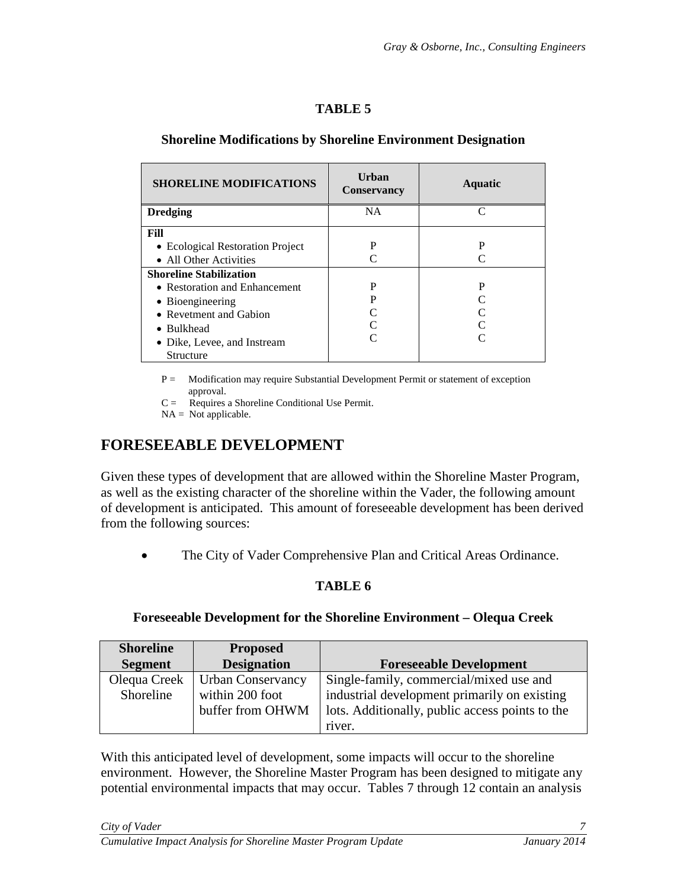#### **Shoreline Modifications by Shoreline Environment Designation**

| <b>SHORELINE MODIFICATIONS</b>   | Urban<br><b>Conservancy</b> | <b>Aquatic</b> |
|----------------------------------|-----------------------------|----------------|
| <b>Dredging</b>                  | <b>NA</b>                   |                |
| Fill                             |                             |                |
| • Ecological Restoration Project | P                           | P              |
| • All Other Activities           |                             |                |
| <b>Shoreline Stabilization</b>   |                             |                |
| • Restoration and Enhancement    | P                           | P              |
| • Bioengineering                 | P                           |                |
| • Revetment and Gabion           |                             |                |
| • Bulkhead                       |                             |                |
| • Dike, Levee, and Instream      |                             |                |
| Structure                        |                             |                |

P = Modification may require Substantial Development Permit or statement of exception approval.

C = Requires a Shoreline Conditional Use Permit.

 $NA = Not applicable.$ 

# <span id="page-10-0"></span>**FORESEEABLE DEVELOPMENT**

Given these types of development that are allowed within the Shoreline Master Program, as well as the existing character of the shoreline within the Vader, the following amount of development is anticipated. This amount of foreseeable development has been derived from the following sources:

• The City of Vader Comprehensive Plan and Critical Areas Ordinance.

# **TABLE 6**

#### **Foreseeable Development for the Shoreline Environment – Olequa Creek**

| <b>Shoreline</b> | <b>Proposed</b>          |                                                 |
|------------------|--------------------------|-------------------------------------------------|
| <b>Segment</b>   | <b>Designation</b>       | <b>Foreseeable Development</b>                  |
| Olequa Creek     | <b>Urban Conservancy</b> | Single-family, commercial/mixed use and         |
| Shoreline        | within 200 foot          | industrial development primarily on existing    |
|                  | buffer from OHWM         | lots. Additionally, public access points to the |
|                  |                          | river.                                          |

With this anticipated level of development, some impacts will occur to the shoreline environment. However, the Shoreline Master Program has been designed to mitigate any potential environmental impacts that may occur. Tables 7 through 12 contain an analysis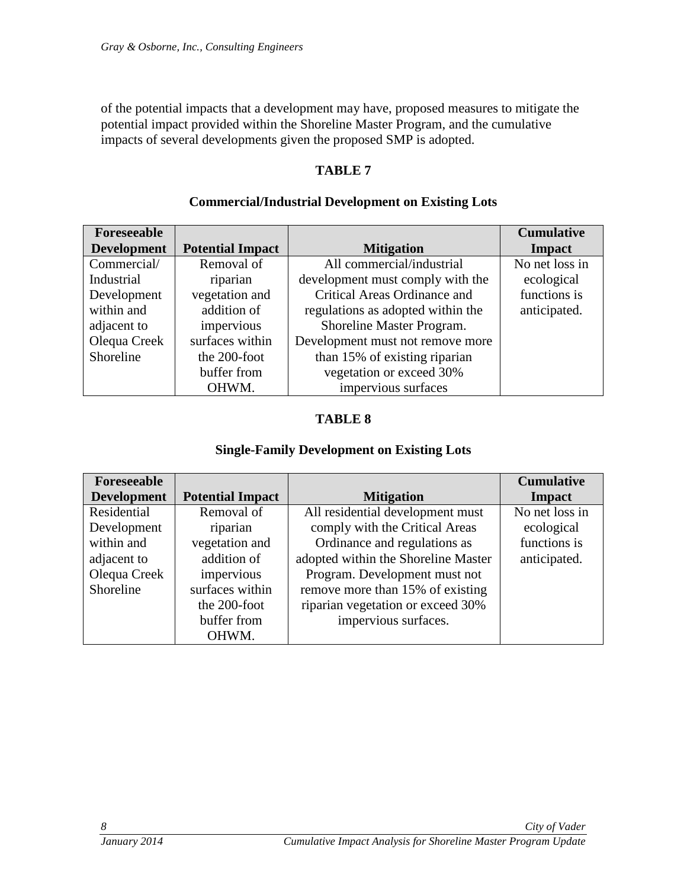of the potential impacts that a development may have, proposed measures to mitigate the potential impact provided within the Shoreline Master Program, and the cumulative impacts of several developments given the proposed SMP is adopted.

## **TABLE 7**

# **Commercial/Industrial Development on Existing Lots**

| Foreseeable        |                         |                                   | <b>Cumulative</b> |
|--------------------|-------------------------|-----------------------------------|-------------------|
| <b>Development</b> | <b>Potential Impact</b> | <b>Mitigation</b>                 | Impact            |
| Commercial/        | Removal of              | All commercial/industrial         | No net loss in    |
| Industrial         | riparian                | development must comply with the  | ecological        |
| Development        | vegetation and          | Critical Areas Ordinance and      | functions is      |
| within and         | addition of             | regulations as adopted within the | anticipated.      |
| adjacent to        | impervious              | Shoreline Master Program.         |                   |
| Olequa Creek       | surfaces within         | Development must not remove more  |                   |
| Shoreline          | the 200-foot            | than 15% of existing riparian     |                   |
|                    | buffer from             | vegetation or exceed 30%          |                   |
|                    | OHWM.                   | impervious surfaces               |                   |

# **TABLE 8**

## **Single-Family Development on Existing Lots**

| Foreseeable        |                         |                                     | <b>Cumulative</b> |
|--------------------|-------------------------|-------------------------------------|-------------------|
| <b>Development</b> | <b>Potential Impact</b> | <b>Mitigation</b>                   | <b>Impact</b>     |
| Residential        | Removal of              | All residential development must    | No net loss in    |
| Development        | riparian                | comply with the Critical Areas      | ecological        |
| within and         | vegetation and          | Ordinance and regulations as        | functions is      |
| adjacent to        | addition of             | adopted within the Shoreline Master | anticipated.      |
| Olequa Creek       | impervious              | Program. Development must not       |                   |
| Shoreline          | surfaces within         | remove more than 15% of existing    |                   |
|                    | the 200-foot            | riparian vegetation or exceed 30%   |                   |
|                    | buffer from             | impervious surfaces.                |                   |
|                    | OHWM.                   |                                     |                   |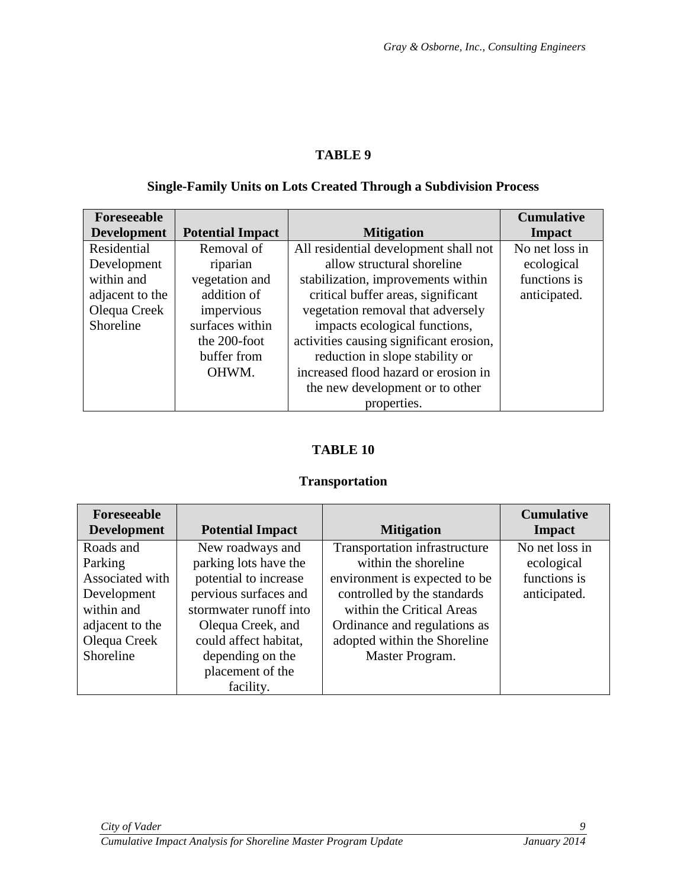# **Single-Family Units on Lots Created Through a Subdivision Process**

| Foreseeable        |                         |                                         | <b>Cumulative</b> |
|--------------------|-------------------------|-----------------------------------------|-------------------|
| <b>Development</b> | <b>Potential Impact</b> | <b>Mitigation</b>                       | Impact            |
| Residential        | Removal of              | All residential development shall not   | No net loss in    |
| Development        | riparian                | allow structural shoreline              | ecological        |
| within and         | vegetation and          | stabilization, improvements within      | functions is      |
| adjacent to the    | addition of             | critical buffer areas, significant      | anticipated.      |
| Olequa Creek       | impervious              | vegetation removal that adversely       |                   |
| Shoreline          | surfaces within         | impacts ecological functions,           |                   |
|                    | the 200-foot            | activities causing significant erosion, |                   |
|                    | buffer from             | reduction in slope stability or         |                   |
|                    | OHWM.                   | increased flood hazard or erosion in    |                   |
|                    |                         | the new development or to other         |                   |
|                    |                         | properties.                             |                   |

# **TABLE 10**

## **Transportation**

| Foreseeable<br><b>Development</b> | <b>Potential Impact</b> | <b>Mitigation</b>             | <b>Cumulative</b><br>Impact |
|-----------------------------------|-------------------------|-------------------------------|-----------------------------|
| Roads and                         | New roadways and        | Transportation infrastructure | No net loss in              |
| Parking                           | parking lots have the   | within the shoreline          | ecological                  |
| Associated with                   | potential to increase   | environment is expected to be | functions is                |
| Development                       | pervious surfaces and   | controlled by the standards   | anticipated.                |
| within and                        | stormwater runoff into  | within the Critical Areas     |                             |
| adjacent to the                   | Olequa Creek, and       | Ordinance and regulations as  |                             |
| Olequa Creek                      | could affect habitat,   | adopted within the Shoreline  |                             |
| Shoreline                         | depending on the        | Master Program.               |                             |
|                                   | placement of the        |                               |                             |
|                                   | facility.               |                               |                             |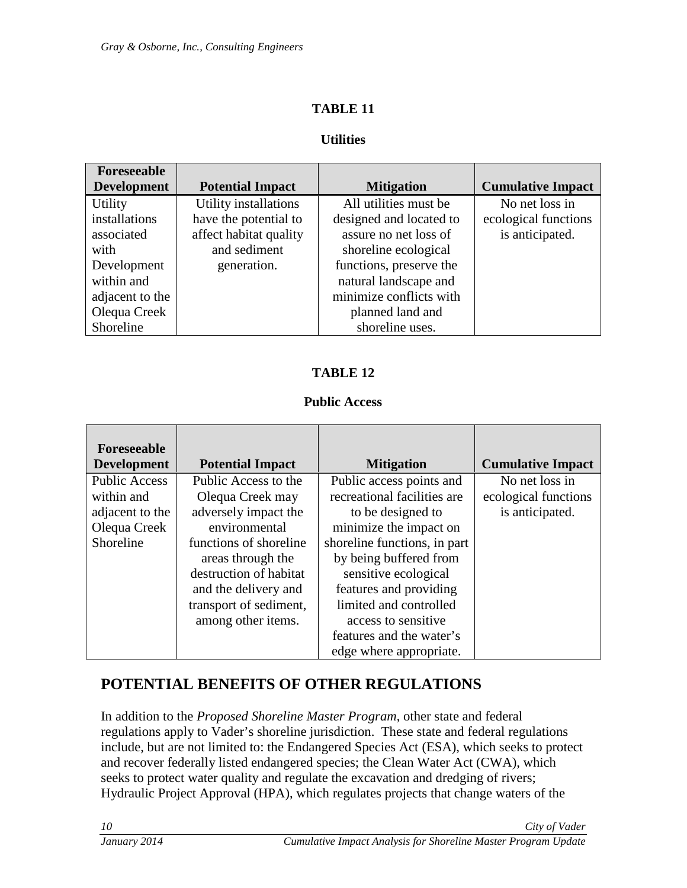## **Utilities**

| Foreseeable        |                         |                         |                          |
|--------------------|-------------------------|-------------------------|--------------------------|
| <b>Development</b> | <b>Potential Impact</b> | <b>Mitigation</b>       | <b>Cumulative Impact</b> |
| Utility            | Utility installations   | All utilities must be   | No net loss in           |
| installations      | have the potential to   | designed and located to | ecological functions     |
| associated         | affect habitat quality  | assure no net loss of   | is anticipated.          |
| with               | and sediment            | shoreline ecological    |                          |
| Development        | generation.             | functions, preserve the |                          |
| within and         |                         | natural landscape and   |                          |
| adjacent to the    |                         | minimize conflicts with |                          |
| Olequa Creek       |                         | planned land and        |                          |
| Shoreline          |                         | shoreline uses.         |                          |

# **TABLE 12**

#### **Public Access**

| Foreseeable          |                         |                              |                          |
|----------------------|-------------------------|------------------------------|--------------------------|
| <b>Development</b>   | <b>Potential Impact</b> | <b>Mitigation</b>            | <b>Cumulative Impact</b> |
| <b>Public Access</b> | Public Access to the    | Public access points and     | No net loss in           |
| within and           | Olequa Creek may        | recreational facilities are  | ecological functions     |
| adjacent to the      | adversely impact the    | to be designed to            | is anticipated.          |
| Olequa Creek         | environmental           | minimize the impact on       |                          |
| Shoreline            | functions of shoreline  | shoreline functions, in part |                          |
|                      | areas through the       | by being buffered from       |                          |
|                      | destruction of habitat  | sensitive ecological         |                          |
|                      | and the delivery and    | features and providing       |                          |
|                      | transport of sediment,  | limited and controlled       |                          |
|                      | among other items.      | access to sensitive          |                          |
|                      |                         | features and the water's     |                          |
|                      |                         | edge where appropriate.      |                          |

# <span id="page-13-0"></span>**POTENTIAL BENEFITS OF OTHER REGULATIONS**

In addition to the *Proposed Shoreline Master Program*, other state and federal regulations apply to Vader's shoreline jurisdiction. These state and federal regulations include, but are not limited to: the Endangered Species Act (ESA), which seeks to protect and recover federally listed endangered species; the Clean Water Act (CWA), which seeks to protect water quality and regulate the excavation and dredging of rivers; Hydraulic Project Approval (HPA), which regulates projects that change waters of the